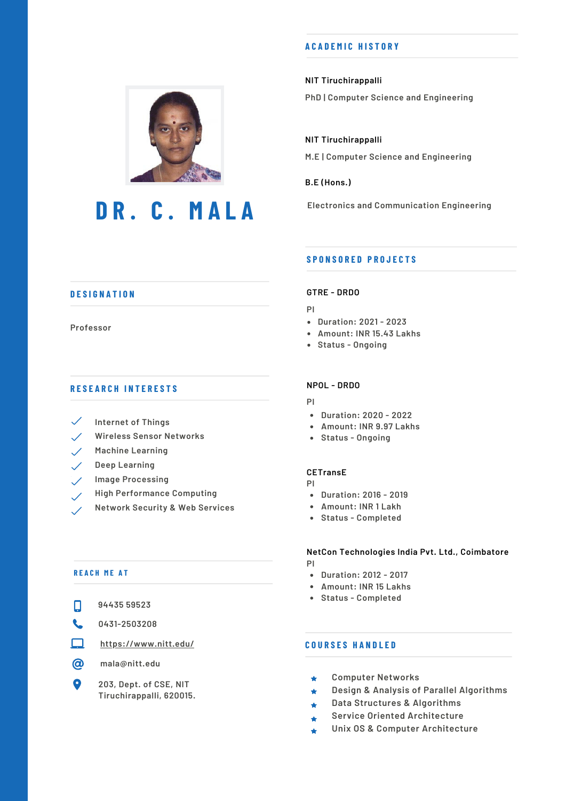# **D R . C . M A L A**

#### **A C A D E M I C H I S T O R Y**

#### **NIT Tiruchirappalli**

**PhD | Computer Science and Engineering**

**NIT Tiruchirappalli M.E | Computer Science and Engineering**

**B.E (Hons.)**

**Electronics and Communication Engineering**

## **D E S I G N A T I O N**

#### **Professor**

#### **R E S E A R C H I N T E R E S T S**

- $\checkmark$ **Internet of Things**
- **Wireless Sensor Networks**
- **Machine Learning**  $\mathcal{S}^{\mathcal{S}}$
- **Deep Learning**  $\checkmark$  .
- **Image Processing**
- **High Performance Computing**
- **Network Security & Web Services**

#### **R E A C H M E A T**

|  | 94435 59523 |
|--|-------------|
|  |             |

- **0431-2503208**  $\mathbf{C}$
- □ **https://www.nitt.edu/**
- $\circledcirc$ **mala@nitt.edu**
- $\bullet$ **203, Dept. of CSE, NIT Tiruchirappalli, 620015.**

#### **S P O N S O R E D P R O J E C T S**

#### **GTRE - DRDO**

- **PI**
- **Duration: 2021 - 2023**
- **Amount: INR 15.43 Lakhs**
- **Status - Ongoing**

#### **NPOL - DRDO**

- **PI**
- **Duration: 2020 - 2022**
- **Amount: INR 9.97 Lakhs**
- **Status - Ongoing**

#### **CETransE**

- **PI**
- **Duration: 2016 - 2019**
- **Amount: INR 1 Lakh**
- **Status - Completed**

#### **NetCon Technologies India Pvt. Ltd., Coimbatore**

- **PI**
	- **Duration: 2012 - 2017**
	- **Amount: INR 15 Lakhs**
	- **Status - Completed**

### **C O U R S E S H A N D L E D**

- **Computer Networks**  $\bigstar$
- **Design & Analysis of Parallel Algorithms**  $\bigstar$
- **Data Structures & Algorithms**  $\bullet$
- **Service Oriented Architecture**  $\bullet$
- **Unix OS & Computer Architecture**٠